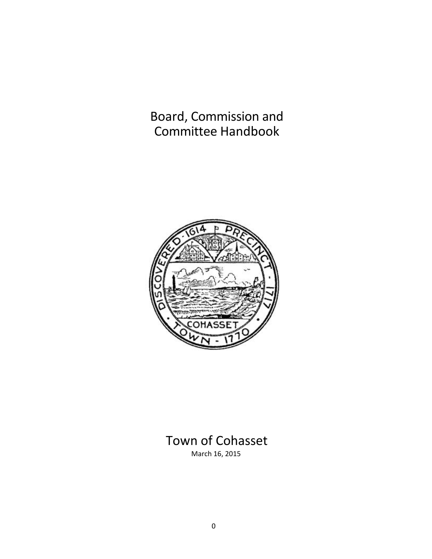Board, Commission and Committee Handbook



# Town of Cohasset March 16, 2015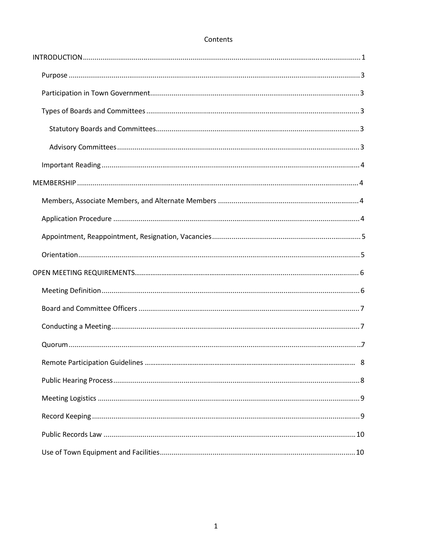# Contents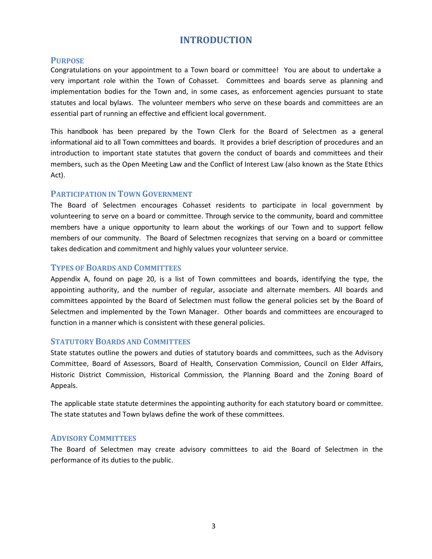# **INTRODUCTION**

# **PURPOSE**

Congratulations on your appointment to a Town board or committee! You are about to undertake a very important role within the Town of Cohasset. Committees and boards serve as planning and implementation bodies for the Town and, in some cases, as enforcement agencies pursuant to state statutes and local bylaws. The volunteer members who serve on these boards and committees are an essential part of running an effective and efficient local government.

This handbook has been prepared by the Town Clerk for the Board of Selectmen as a general informational aid to all Town committees and boards. It provides a brief description of procedures and an introduction to important state statutes that govern the conduct of boards and committees and their members, such as the Open Meeting Law and the Conflict of Interest Law (also known as the State Ethics Act).

# **PARTICIPATION IN TOWN GOVERNMENT**

The Board of Selectmen encourages Cohasset residents to participate in local government by volunteering to serve on a board or committee. Through service to the community, board and committee members have a unique opportunity to learn about the workings of our Town and to support fellow members of our community. The Board of Selectmen recognizes that serving on a board or committee takes dedication and commitment and highly values your volunteer service.

## **TYPES OF BOARDS AND COMMITTEES**

Appendix A, found on page 20, is a list of Town committees and boards, identifying the type, the appointing authority, and the number of regular, associate and alternate members. All boards and committees appointed by the Board of Selectmen must follow the general policies set by the Board of Selectmen and implemented by the Town Manager. Other boards and committees are encouraged to function in a manner which is consistent with these general policies.

#### **STATUTORY BOARDS AND COMMITTEES**

State statutes outline the powers and duties of statutory boards and committees, such as the Advisory Committee, Board of Assessors, Board of Health, Conservation Commission, Council on Elder Affairs, Historic District Commission, Historical Commission, the Planning Board and the Zoning Board of Appeals.

The applicable state statute determines the appointing authority for each statutory board or committee. The state statutes and Town bylaws define the work of these committees.

# **ADVISORY COMMITTEES**

The Board of Selectmen may create advisory committees to aid the Board of Selectmen in the performance of its duties to the public.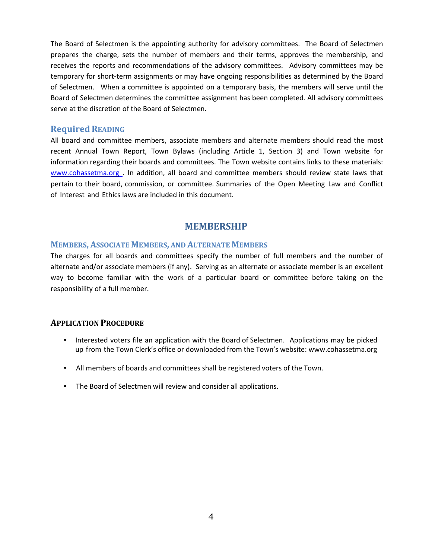The Board of Selectmen is the appointing authority for advisory committees. The Board of Selectmen prepares the charge, sets the number of members and their terms, approves the membership, and receives the reports and recommendations of the advisory committees. Advisory committees may be temporary for short-term assignments or may have ongoing responsibilities as determined by the Board of Selectmen. When a committee is appointed on a temporary basis, the members will serve until the Board of Selectmen determines the committee assignment has been completed. All advisory committees serve at the discretion of the Board of Selectmen.

## **Required READING**

All board and committee members, associate members and alternate members should read the most recent Annual Town Report, Town Bylaws (including Article 1, Section 3) and Town website for information regarding their boards and committees. The Town website contains links to these materials: www.cohassetma.org . In addition, all board and committee members should review state laws that pertain to their board, commission, or committee. Summaries of the Open Meeting Law and Conflict of Interest and Ethics laws are included in this document.

# **MEMBERSHIP**

#### **MEMBERS, ASSOCIATE MEMBERS, AND ALTERNATE MEMBERS**

The charges for all boards and committees specify the number of full members and the number of alternate and/or associate members (if any). Serving as an alternate or associate member is an excellent way to become familiar with the work of a particular board or committee before taking on the responsibility of a full member.

# **APPLICATION PROCEDURE**

- Interested voters file an application with the Board of Selectmen. Applications may be picked up from the Town Clerk's office or downloaded from the Town's website: www.cohassetma.org
- All members of boards and committees shall be registered voters of the Town.
- The Board of Selectmen will review and consider all applications.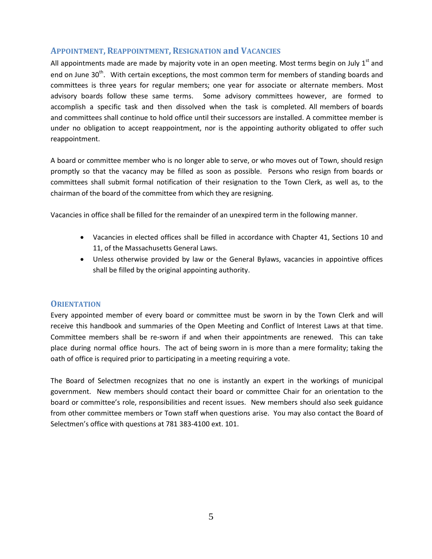# **APPOINTMENT, REAPPOINTMENT, RESIGNATION and VACANCIES**

All appointments made are made by majority vote in an open meeting. Most terms begin on July 1<sup>st</sup> and end on June 30<sup>th</sup>. With certain exceptions, the most common term for members of standing boards and committees is three years for regular members; one year for associate or alternate members. Most advisory boards follow these same terms. Some advisory committees however, are formed to accomplish a specific task and then dissolved when the task is completed. All members of boards and committees shall continue to hold office until their successors are installed. A committee member is under no obligation to accept reappointment, nor is the appointing authority obligated to offer such reappointment.

A board or committee member who is no longer able to serve, or who moves out of Town, should resign promptly so that the vacancy may be filled as soon as possible. Persons who resign from boards or committees shall submit formal notification of their resignation to the Town Clerk, as well as, to the chairman of the board of the committee from which they are resigning.

Vacancies in office shall be filled for the remainder of an unexpired term in the following manner.

- Vacancies in elected offices shall be filled in accordance with Chapter 41, Sections 10 and 11, of the Massachusetts General Laws.
- Unless otherwise provided by law or the General Bylaws, vacancies in appointive offices shall be filled by the original appointing authority.

#### **ORIENTATION**

Every appointed member of every board or committee must be sworn in by the Town Clerk and will receive this handbook and summaries of the Open Meeting and Conflict of Interest Laws at that time. Committee members shall be re-sworn if and when their appointments are renewed. This can take place during normal office hours. The act of being sworn in is more than a mere formality; taking the oath of office is required prior to participating in a meeting requiring a vote.

The Board of Selectmen recognizes that no one is instantly an expert in the workings of municipal government. New members should contact their board or committee Chair for an orientation to the board or committee's role, responsibilities and recent issues. New members should also seek guidance from other committee members or Town staff when questions arise. You may also contact the Board of Selectmen's office with questions at 781 383-4100 ext. 101.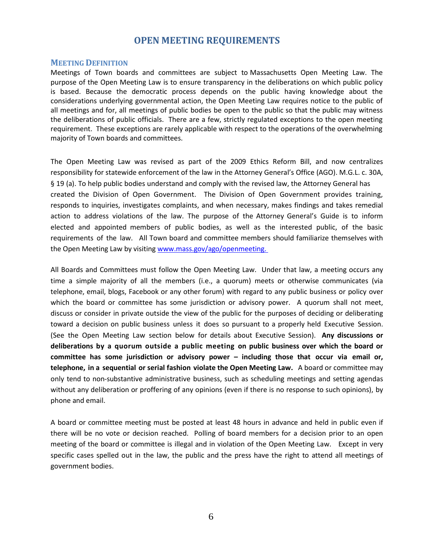# **OPEN MEETING REQUIREMENTS**

#### **MEETING DEFINITION**

Meetings of Town boards and committees are subject to Massachusetts Open Meeting Law. The purpose of the Open Meeting Law is to ensure transparency in the deliberations on which public policy is based. Because the democratic process depends on the public having knowledge about the considerations underlying governmental action, the Open Meeting Law requires notice to the public of all meetings and for, all meetings of public bodies be open to the public so that the public may witness the deliberations of public officials. There are a few, strictly regulated exceptions to the open meeting requirement. These exceptions are rarely applicable with respect to the operations of the overwhelming majority of Town boards and committees.

The Open Meeting Law was revised as part of the 2009 Ethics Reform Bill, and now centralizes responsibility for statewide enforcement of the law in the Attorney General's Office (AGO). M.G.L. c. 30A, § 19 (a). To help public bodies understand and comply with the revised law, the Attorney General has created the Division of Open Government. The Division of Open Government provides training, responds to inquiries, investigates complaints, and when necessary, makes findings and takes remedial action to address violations of the law. The purpose of the Attorney General's Guide is to inform elected and appointed members of public bodies, as well as the interested public, of the basic requirements of the law. All Town board and committee members should familiarize themselves with the Open Meeting Law by visiting [www.mass.gov/ago/openmeeting.](http://www.mass.gov/ago/openmeeting.)

All Boards and Committees must follow the Open Meeting Law. Under that law, a meeting occurs any time a simple majority of all the members (i.e., a quorum) meets or otherwise communicates (via telephone, email, blogs, Facebook or any other forum) with regard to any public business or policy over which the board or committee has some jurisdiction or advisory power. A quorum shall not meet, discuss or consider in private outside the view of the public for the purposes of deciding or deliberating toward a decision on public business unless it does so pursuant to a properly held Executive Session. (See the Open Meeting Law section below for details about Executive Session). **Any discussions or deliberations by a quorum outside a public meeting on public business over which the board or committee has some jurisdiction or advisory power – including those that occur via email or, telephone, in a sequential or serial fashion violate the Open Meeting Law.** A board or committee may only tend to non-substantive administrative business, such as scheduling meetings and setting agendas without any deliberation or proffering of any opinions (even if there is no response to such opinions), by phone and email.

A board or committee meeting must be posted at least 48 hours in advance and held in public even if there will be no vote or decision reached. Polling of board members for a decision prior to an open meeting of the board or committee is illegal and in violation of the Open Meeting Law. Except in very specific cases spelled out in the law, the public and the press have the right to attend all meetings of government bodies.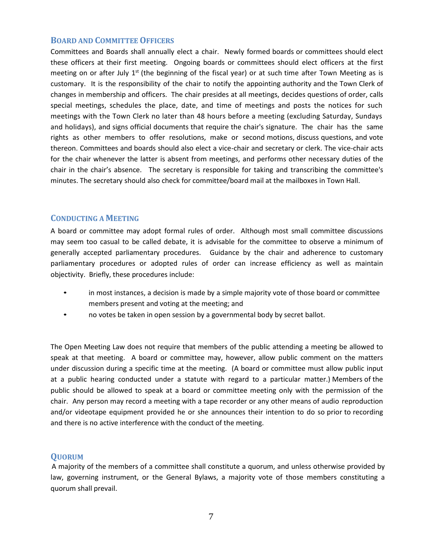#### **BOARD AND COMMITTEE OFFICERS**

Committees and Boards shall annually elect a chair. Newly formed boards or committees should elect these officers at their first meeting. Ongoing boards or committees should elect officers at the first meeting on or after July  $1<sup>st</sup>$  (the beginning of the fiscal year) or at such time after Town Meeting as is customary. It is the responsibility of the chair to notify the appointing authority and the Town Clerk of changes in membership and officers. The chair presides at all meetings, decides questions of order, calls special meetings, schedules the place, date, and time of meetings and posts the notices for such meetings with the Town Clerk no later than 48 hours before a meeting (excluding Saturday, Sundays and holidays), and signs official documents that require the chair's signature. The chair has the same rights as other members to offer resolutions, make or second motions, discuss questions, and vote thereon. Committees and boards should also elect a vice-chair and secretary or clerk. The vice-chair acts for the chair whenever the latter is absent from meetings, and performs other necessary duties of the chair in the chair's absence. The secretary is responsible for taking and transcribing the committee's minutes. The secretary should also check for committee/board mail at the mailboxes in Town Hall.

## **CONDUCTING A MEETING**

A board or committee may adopt formal rules of order. Although most small committee discussions may seem too casual to be called debate, it is advisable for the committee to observe a minimum of generally accepted parliamentary procedures. Guidance by the chair and adherence to customary parliamentary procedures or adopted rules of order can increase efficiency as well as maintain objectivity. Briefly, these procedures include:

- in most instances, a decision is made by a simple majority vote of those board or committee members present and voting at the meeting; and
- no votes be taken in open session by a governmental body by secret ballot.

The Open Meeting Law does not require that members of the public attending a meeting be allowed to speak at that meeting. A board or committee may, however, allow public comment on the matters under discussion during a specific time at the meeting. (A board or committee must allow public input at a public hearing conducted under a statute with regard to a particular matter.) Members of the public should be allowed to speak at a board or committee meeting only with the permission of the chair. Any person may record a meeting with a tape recorder or any other means of audio reproduction and/or videotape equipment provided he or she announces their intention to do so prior to recording and there is no active interference with the conduct of the meeting.

# **QUORUM**

A majority of the members of a committee shall constitute a quorum, and unless otherwise provided by law, governing instrument, or the General Bylaws, a majority vote of those members constituting a quorum shall prevail.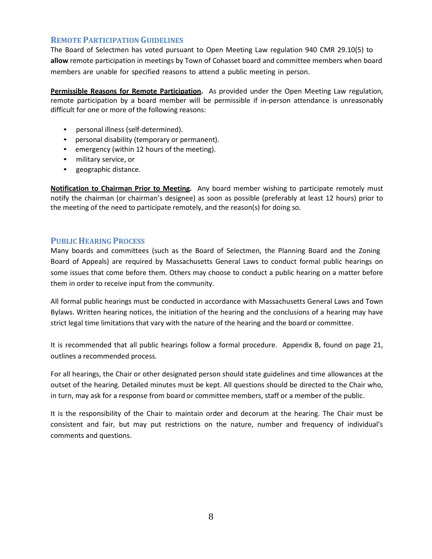# **REMOTE PARTICIPATION GUIDELINES**

The Board of Selectmen has voted pursuant to Open Meeting Law regulation 940 CMR 29.10(5) to **allow** remote participation in meetings by Town of Cohasset board and committee members when board members are unable for specified reasons to attend a public meeting in person.

**Permissible Reasons for Remote Participation.** As provided under the Open Meeting Law regulation, remote participation by a board member will be permissible if in-person attendance is unreasonably difficult for one or more of the following reasons:

- personal illness (self-determined).
- personal disability (temporary or permanent).
- emergency (within 12 hours of the meeting).
- military service, or
- geographic distance.

**Notification to Chairman Prior to Meeting.** Any board member wishing to participate remotely must notify the chairman (or chairman's designee) as soon as possible (preferably at least 12 hours) prior to the meeting of the need to participate remotely, and the reason(s) for doing so.

# **PUBLIC HEARING PROCESS**

Many boards and committees (such as the Board of Selectmen, the Planning Board and the Zoning Board of Appeals) are required by Massachusetts General Laws to conduct formal public hearings on some issues that come before them. Others may choose to conduct a public hearing on a matter before them in order to receive input from the community.

All formal public hearings must be conducted in accordance with Massachusetts General Laws and Town Bylaws. Written hearing notices, the initiation of the hearing and the conclusions of a hearing may have strict legal time limitations that vary with the nature of the hearing and the board or committee.

It is recommended that all public hearings follow a formal procedure. Appendix B, found on page 21, outlines a recommended process.

For all hearings, the Chair or other designated person should state guidelines and time allowances at the outset of the hearing. Detailed minutes must be kept. All questions should be directed to the Chair who, in turn, may ask for a response from board or committee members, staff or a member of the public.

It is the responsibility of the Chair to maintain order and decorum at the hearing. The Chair must be consistent and fair, but may put restrictions on the nature, number and frequency of individual's comments and questions.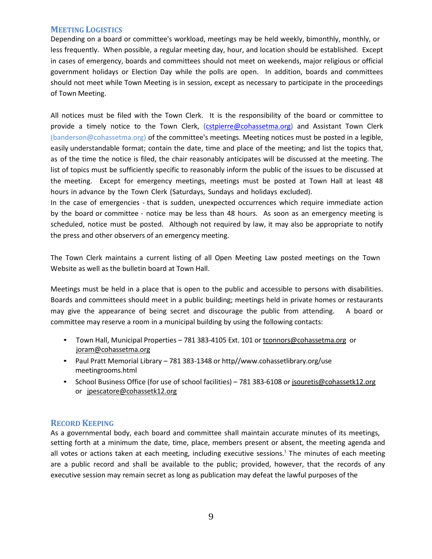## **MEETING LOGISTICS**

Depending on a board or committee's workload, meetings may be held weekly, bimonthly, monthly, or less frequently. When possible, a regular meeting day, hour, and location should be established. Except in cases of emergency, boards and committees should not meet on weekends, major religious or official government holidays or Election Day while the polls are open. In addition, boards and committees should not meet while Town Meeting is in session, except as necessary to participate in the proceedings of Town Meeting.

All notices must be filed with the Town Clerk. It is the responsibility of the board or committee to provide a timely notice to the Town Clerk, [\(cstpierre@cohassetma.org\)](mailto:cstpierre@cohassetma.org) and Assistant Town Clerk (banderson@cohassetma.org) of the committee's meetings. Meeting notices must be posted in a legible, easily understandable format; contain the date, time and place of the meeting; and list the topics that, as of the time the notice is filed, the chair reasonably anticipates will be discussed at the meeting. The list of topics must be sufficiently specific to reasonably inform the public of the issues to be discussed at the meeting. Except for emergency meetings, meetings must be posted at Town Hall at least 48 hours in advance by the Town Clerk (Saturdays, Sundays and holidays excluded).

In the case of emergencies - that is sudden, unexpected occurrences which require immediate action by the board or committee - notice may be less than 48 hours. As soon as an emergency meeting is scheduled, notice must be posted. Although not required by law, it may also be appropriate to notify the press and other observers of an emergency meeting.

The Town Clerk maintains a current listing of all Open Meeting Law posted meetings on the Town Website as well as the bulletin board at Town Hall.

Meetings must be held in a place that is open to the public and accessible to persons with disabilities. Boards and committees should meet in a public building; meetings held in private homes or restaurants may give the appearance of being secret and discourage the public from attending. A board or committee may reserve a room in a municipal building by using the following contacts:

- Town Hall, Municipal Properties 781 383-4105 Ext. 101 o[r tconnors@cohassetma.org](mailto:tconnors@cohassetma.org) or [joram@cohassetma.org](mailto:joram@cohassetma.org)
- Paul Pratt Memorial Library 781 383-1348 or http//www.cohassetlibrary.org/use meetingrooms.html
- School Business Office (for use of school facilities) 781 383-6108 or jsouretis@cohassetk12.org or [jpescatore@cohassetk12.org](mailto:jpescatore@cohassetk12.org)

# **RECORD KEEPING**

As a governmental body, each board and committee shall maintain accurate minutes of its meetings, setting forth at a minimum the date, time, place, members present or absent, the meeting agenda and all votes or actions taken at each meeting, including executive sessions.<sup>1</sup> The minutes of each meeting are a public record and shall be available to the public; provided, however, that the records of any executive session may remain secret as long as publication may defeat the lawful purposes of the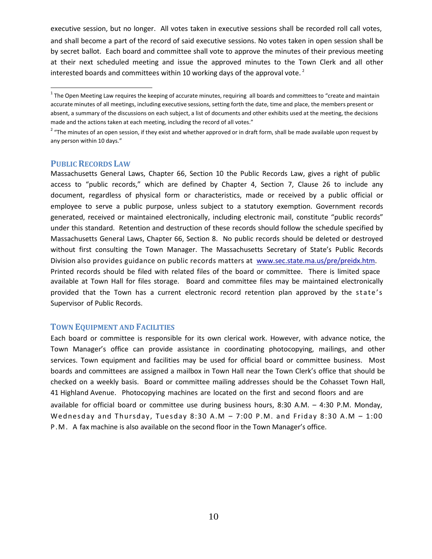executive session, but no longer. All votes taken in executive sessions shall be recorded roll call votes, and shall become a part of the record of said executive sessions. No votes taken in open session shall be by secret ballot. Each board and committee shall vote to approve the minutes of their previous meeting at their next scheduled meeting and issue the approved minutes to the Town Clerk and all other interested boards and committees within 10 working days of the approval vote.<sup>2</sup>

#### **PUBLICRECORDS LAW**

Massachusetts General Laws, Chapter 66, Section 10 the Public Records Law, gives a right of public access to "public records," which are defined by Chapter 4, Section 7, Clause 26 to include any document, regardless of physical form or characteristics, made or received by a public official or employee to serve a public purpose, unless subject to a statutory exemption. Government records generated, received or maintained electronically, including electronic mail, constitute "public records" under this standard. Retention and destruction of these records should follow the schedule specified by Massachusetts General Laws, Chapter 66, Section 8. No public records should be deleted or destroyed without first consulting the Town Manager. The Massachusetts Secretary of State's Public Records Division also provides guidance on public records matters at [www.sec.state.ma.us/pre/preidx.htm.](http://www.sec.state.ma.us/pre/preidx.htm) Printed records should be filed with related files of the board or committee. There is limited space available at Town Hall for files storage. Board and committee files may be maintained electronically provided that the Town has a current electronic record retention plan approved by the state's Supervisor of Public Records.

#### **TOWN EQUIPMENT AND FACILITIES**

Each board or committee is responsible for its own clerical work. However, with advance notice, the Town Manager's office can provide assistance in coordinating photocopying, mailings, and other services. Town equipment and facilities may be used for official board or committee business. Most boards and committees are assigned a mailbox in Town Hall near the Town Clerk's office that should be checked on a weekly basis. Board or committee mailing addresses should be the Cohasset Town Hall, 41 Highland Avenue. Photocopying machines are located on the first and second floors and are available for official board or committee use during business hours, 8:30 A.M. – 4:30 P.M. Monday, Wednesday and Thursday, Tuesday 8:30 A.M – 7:00 P.M. and Friday 8:30 A.M – 1:00 P.M. A fax machine is also available on the second floor in the Town Manager's office.

<sup>&</sup>lt;sup>1</sup> The Open Meeting Law requires the keeping of accurate minutes, requiring all boards and committees to "create and maintain accurate minutes of all meetings, including executive sessions, setting forth the date, time and place, the members present or absent, a summary of the discussions on each subject, a list of documents and other exhibits used at the meeting, the decisions made and the actions taken at each meeting, including the record of all votes."

<sup>&</sup>lt;sup>2</sup> "The minutes of an open session, if they exist and whether approved or in draft form, shall be made available upon request by any person within 10 days."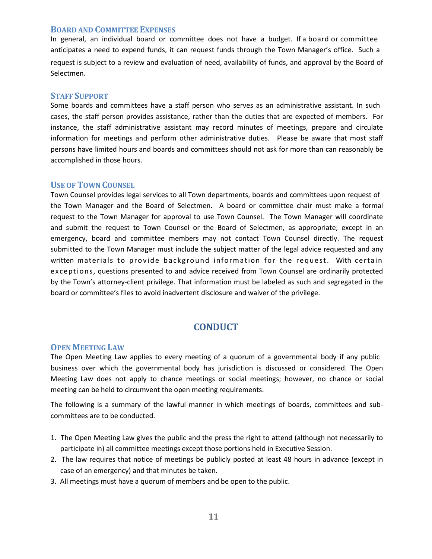#### **BOARD AND COMMITTEE EXPENSES**

In general, an individual board or committee does not have a budget. If a board or committee anticipates a need to expend funds, it can request funds through the Town Manager's office. Such a request is subject to a review and evaluation of need, availability of funds, and approval by the Board of Selectmen.

#### **STAFF SUPPORT**

Some boards and committees have a staff person who serves as an administrative assistant. In such cases, the staff person provides assistance, rather than the duties that are expected of members. For instance, the staff administrative assistant may record minutes of meetings, prepare and circulate information for meetings and perform other administrative duties. Please be aware that most staff persons have limited hours and boards and committees should not ask for more than can reasonably be accomplished in those hours.

#### **USE OF TOWN COUNSEL**

Town Counsel provides legal services to all Town departments, boards and committees upon request of the Town Manager and the Board of Selectmen. A board or committee chair must make a formal request to the Town Manager for approval to use Town Counsel. The Town Manager will coordinate and submit the request to Town Counsel or the Board of Selectmen, as appropriate; except in an emergency, board and committee members may not contact Town Counsel directly. The request submitted to the Town Manager must include the subject matter of the legal advice requested and any written materials to provide background information for the request. With certain exceptions, questions presented to and advice received from Town Counsel are ordinarily protected by the Town's attorney-client privilege. That information must be labeled as such and segregated in the board or committee's files to avoid inadvertent disclosure and waiver of the privilege.

# **CONDUCT**

#### **OPEN MEETING LAW**

The Open Meeting Law applies to every meeting of a quorum of a governmental body if any public business over which the governmental body has jurisdiction is discussed or considered. The Open Meeting Law does not apply to chance meetings or social meetings; however, no chance or social meeting can be held to circumvent the open meeting requirements.

The following is a summary of the lawful manner in which meetings of boards, committees and subcommittees are to be conducted.

- 1. The Open Meeting Law gives the public and the press the right to attend (although not necessarily to participate in) all committee meetings except those portions held in Executive Session.
- 2. The law requires that notice of meetings be publicly posted at least 48 hours in advance (except in case of an emergency) and that minutes be taken.
- 3. All meetings must have a quorum of members and be open to the public.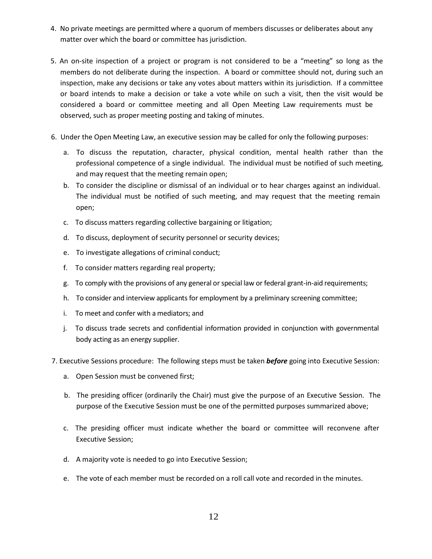- 4. No private meetings are permitted where a quorum of members discusses or deliberates about any matter over which the board or committee has jurisdiction.
- 5. An on-site inspection of a project or program is not considered to be a "meeting" so long as the members do not deliberate during the inspection. A board or committee should not, during such an inspection, make any decisions or take any votes about matters within its jurisdiction. If a committee or board intends to make a decision or take a vote while on such a visit, then the visit would be considered a board or committee meeting and all Open Meeting Law requirements must be observed, such as proper meeting posting and taking of minutes.
- 6. Under the Open Meeting Law, an executive session may be called for only the following purposes:
	- a. To discuss the reputation, character, physical condition, mental health rather than the professional competence of a single individual. The individual must be notified of such meeting, and may request that the meeting remain open;
	- b. To consider the discipline or dismissal of an individual or to hear charges against an individual. The individual must be notified of such meeting, and may request that the meeting remain open;
	- c. To discuss matters regarding collective bargaining or litigation;
	- d. To discuss, deployment of security personnel or security devices;
	- e. To investigate allegations of criminal conduct;
	- f. To consider matters regarding real property;
	- g. To comply with the provisions of any general or special law or federal grant-in-aid requirements;
	- h. To consider and interview applicants for employment by a preliminary screening committee;
	- i. To meet and confer with a mediators; and
	- j. To discuss trade secrets and confidential information provided in conjunction with governmental body acting as an energy supplier.
- 7. Executive Sessions procedure: The following steps must be taken *before* going into Executive Session:
	- a. Open Session must be convened first;
	- b. The presiding officer (ordinarily the Chair) must give the purpose of an Executive Session. The purpose of the Executive Session must be one of the permitted purposes summarized above;
	- c. The presiding officer must indicate whether the board or committee will reconvene after Executive Session;
	- d. A majority vote is needed to go into Executive Session;
	- e. The vote of each member must be recorded on a roll call vote and recorded in the minutes.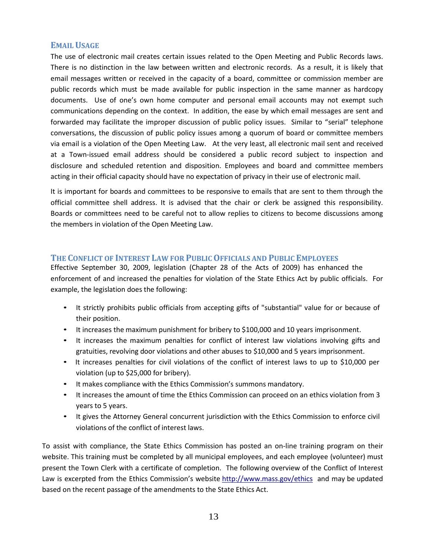#### **EMAILUSAGE**

The use of electronic mail creates certain issues related to the Open Meeting and Public Records laws. There is no distinction in the law between written and electronic records. As a result, it is likely that email messages written or received in the capacity of a board, committee or commission member are public records which must be made available for public inspection in the same manner as hardcopy documents. Use of one's own home computer and personal email accounts may not exempt such communications depending on the context. In addition, the ease by which email messages are sent and forwarded may facilitate the improper discussion of public policy issues. Similar to "serial" telephone conversations, the discussion of public policy issues among a quorum of board or committee members via email is a violation of the Open Meeting Law. At the very least, all electronic mail sent and received at a Town-issued email address should be considered a public record subject to inspection and disclosure and scheduled retention and disposition. Employees and board and committee members acting in their official capacity should have no expectation of privacy in their use of electronic mail.

It is important for boards and committees to be responsive to emails that are sent to them through the official committee shell address. It is advised that the chair or clerk be assigned this responsibility. Boards or committees need to be careful not to allow replies to citizens to become discussions among the members in violation of the Open Meeting Law.

#### **THE CONFLICT OF INTEREST LAW FOR PUBLICOFFICIALS AND PUBLIC EMPLOYEES**

Effective September 30, 2009, legislation (Chapter 28 of the Acts of 2009) has enhanced the enforcement of and increased the penalties for violation of the State Ethics Act by public officials. For example, the legislation does the following:

- It strictly prohibits public officials from accepting gifts of "substantial" value for or because of their position.
- It increases the maximum punishment for bribery to \$100,000 and 10 years imprisonment.
- It increases the maximum penalties for conflict of interest law violations involving gifts and gratuities, revolving door violations and other abuses to \$10,000 and 5 years imprisonment.
- It increases penalties for civil violations of the conflict of interest laws to up to \$10,000 per violation (up to \$25,000 for bribery).
- It makes compliance with the Ethics Commission's summons mandatory.
- It increases the amount of time the Ethics Commission can proceed on an ethics violation from 3 years to 5 years.
- It gives the Attorney General concurrent jurisdiction with the Ethics Commission to enforce civil violations of the conflict of interest laws.

To assist with compliance, the State Ethics Commission has posted an on-line training program on their website. This training must be completed by all municipal employees, and each employee (volunteer) must present the Town Clerk with a certificate of completion. The following overview of the Conflict of Interest Law is excerpted from the Ethics Commission's website<http://www.mass.gov/ethics> and may be updated based on the recent passage of the amendments to the State Ethics Act.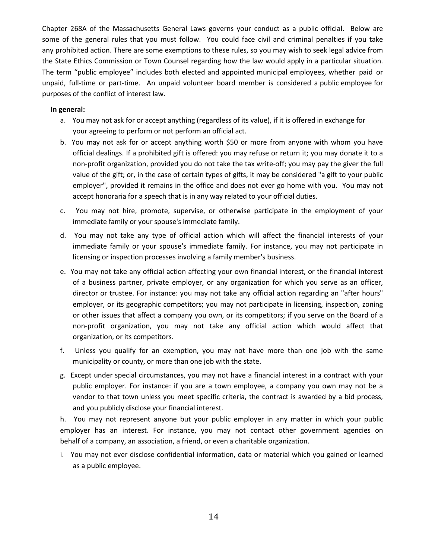[Chapter](http://www.state.ma.us/legis/laws/mgl/gl-268A-toc.htm) 268A of the Massachusetts General Laws governs your conduct as a public official. Below are some of the general rules that you must follow. You could face civil and criminal penalties if you take any prohibited action. There are some exemptions to these rules, so you may wish to seek legal advice from the State Ethics Commission or Town Counsel regarding how the law would apply in a particular situation. The term "public employee" includes both elected and appointed municipal employees, whether paid or unpaid, full-time or part-time. An unpaid volunteer board member is considered a public employee for purposes of the conflict of interest law.

#### **In general:**

- a. You may not ask for or accept anything (regardless of its value), if it is offered in exchange for your agreeing to perform or not perform an official act.
- b. You may not ask for or accept anything worth \$50 or more from anyone with whom you have official dealings. If a prohibited gift is offered: you may refuse or return it; you may donate it to a non-profit organization, provided you do not take the tax write-off; you may pay the giver the full value of the gift; or, in the case of certain types of gifts, it may be considered "a gift to your public employer", provided it remains in the office and does not ever go home with you. You may not accept honoraria for a speech that is in any way related to your official duties.
- c. You may not hire, promote, supervise, or otherwise participate in the employment of your immediate family or your spouse's immediate family.
- d. You may not take any type of official action which will affect the financial interests of your immediate family or your spouse's immediate family. For instance, you may not participate in licensing or inspection processes involving a family member's business.
- e. You may not take any official action affecting your own financial interest, or the financial interest of a business partner, private employer, or any organization for which you serve as an officer, director or trustee. For instance: you may not take any official action regarding an "after hours" employer, or its geographic competitors; you may not participate in licensing, inspection, zoning or other issues that affect a company you own, or its competitors; if you serve on the Board of a non-profit organization, you may not take any official action which would affect that organization, or its competitors.
- f. Unless you qualify for an exemption, you may not have more than one job with the same municipality or county, or more than one job with the state.
- g. Except under special circumstances, you may not have a financial interest in a contract with your public employer. For instance: if you are a town employee, a company you own may not be a vendor to that town unless you meet specific criteria, the contract is awarded by a bid process, and you publicly disclose your financial interest.

h. You may not represent anyone but your public employer in any matter in which your public employer has an interest. For instance, you may not contact other government agencies on behalf of a company, an association, a friend, or even a charitable organization.

i. You may not ever disclose confidential information, data or material which you gained or learned as a public employee.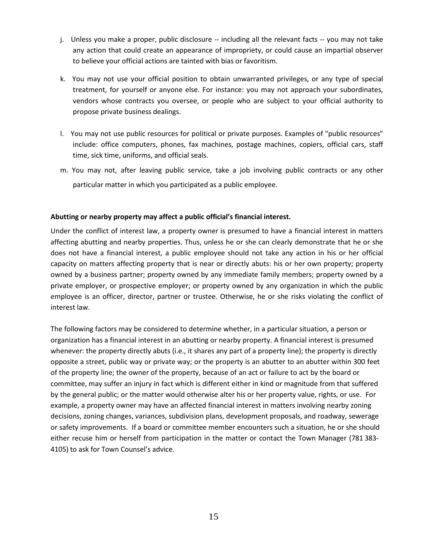- j. Unless you make a proper, public disclosure -- including all the relevant facts -- you may not take any action that could create an appearance of impropriety, or could cause an impartial observer to believe your official actions are tainted with bias or favoritism.
- k. You may not use your official position to obtain unwarranted privileges, or any type of special treatment, for yourself or anyone else. For instance: you may not approach your subordinates, vendors whose contracts you oversee, or people who are subject to your official authority to propose private business dealings.
- l. You may not use public resources for political or private purposes. Examples of "public resources" include: office computers, phones, fax machines, postage machines, copiers, official cars, staff time, sick time, uniforms, and official seals.
- m. You may not, after leaving public service, take a job involving public contracts or any other particular matter in which you participated as a public employee.

#### **Abutting or nearby property may affect a public official's financial interest.**

Under the conflict of interest law, a property owner is presumed to have a financial interest in matters affecting abutting and nearby properties. Thus, unless he or she can clearly demonstrate that he or she does not have a financial interest, a public employee should not take any action in his or her official capacity on matters affecting property that is near or directly abuts: his or her own property; property owned by a business partner; property owned by any immediate family members; property owned by a private employer, or prospective employer; or property owned by any organization in which the public employee is an officer, director, partner or trustee. Otherwise, he or she risks violating the conflict of interest law.

The following factors may be considered to determine whether, in a particular situation, a person or organization has a financial interest in an abutting or nearby property. A financial interest is presumed whenever: the property directly abuts (i.e., it shares any part of a property line); the property is directly opposite a street, public way or private way; or the property is an abutter to an abutter within 300 feet of the property line; the owner of the property, because of an act or failure to act by the board or committee, may suffer an injury in fact which is different either in kind or magnitude from that suffered by the general public; or the matter would otherwise alter his or her property value, rights, or use. For example, a property owner may have an affected financial interest in matters involving nearby zoning decisions, zoning changes, variances, subdivision plans, development proposals, and roadway, sewerage or safety improvements. If a board or committee member encounters such a situation, he or she should either recuse him or herself from participation in the matter or contact the Town Manager (781 383- 4105) to ask for Town Counsel's advice.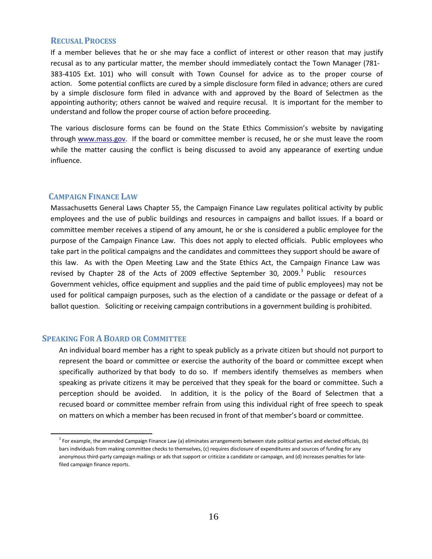#### **RECUSALPROCESS**

If a member believes that he or she may face a conflict of interest or other reason that may justify recusal as to any particular matter, the member should immediately contact the Town Manager (781- 383-4105 Ext. 101) who will consult with Town Counsel for advice as to the proper course of action. Some potential conflicts are cured by a simple disclosure form filed in advance; others are cured by a simple disclosure form filed in advance with and approved by the Board of Selectmen as the appointing authority; others cannot be waived and require recusal. It is important for the member to understand and follow the proper course of action before proceeding.

The various disclosure forms can be found on the State Ethics Commission's website by navigating through [www.mass.gov. I](http://www.mass.gov/)f the board or committee member is recused, he or she must leave the room while the matter causing the conflict is being discussed to avoid any appearance of exerting undue influence.

#### **CAMPAIGN FINANCE LAW**

Massachusetts General Laws Chapter 55, the Campaign Finance Law regulates political activity by public employees and the use of public buildings and resources in campaigns and ballot issues. If a board or committee member receives a stipend of any amount, he or she is considered a public employee for the purpose of the Campaign Finance Law. This does not apply to elected officials. Public employees who take part in the political campaigns and the candidates and committees they support should be aware of this law. As with the Open Meeting Law and the State Ethics Act, the Campaign Finance Law was revised by Chapter 28 of the Acts of 2009 effective September 30, 2009.<sup>3</sup> Public resources Government vehicles, office equipment and supplies and the paid time of public employees) may not be used for political campaign purposes, such as the election of a candidate or the passage or defeat of a ballot question. Soliciting or receiving campaign contributions in a government building is prohibited.

#### **SPEAKING FOR ABOARD OR COMMITTEE**

An individual board member has a right to speak publicly as a private citizen but should not purport to represent the board or committee or exercise the authority of the board or committee except when specifically authorized by that body to do so. If members identify themselves as members when speaking as private citizens it may be perceived that they speak for the board or committee. Such a perception should be avoided. In addition, it is the policy of the Board of Selectmen that a recused board or committee member refrain from using this individual right of free speech to speak on matters on which a member has been recused in front of that member's board or committee.

<sup>&</sup>lt;sup>3</sup> For example, the amended Campaign Finance Law (a) eliminates arrangements between state political parties and elected officials, (b) bars individuals from making committee checks to themselves, (c) requires disclosure of expenditures and sources of funding for any anonymous third-party campaign mailings or ads that support or criticize a candidate or campaign, and (d) increases penalties for latefiled campaign finance reports.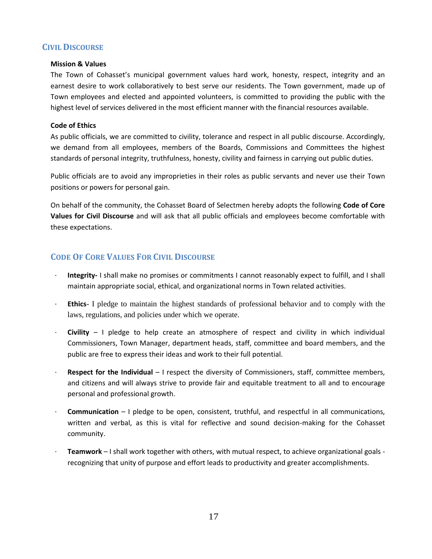# **CIVIL DISCOURSE**

#### **Mission & Values**

The Town of Cohasset's municipal government values hard work, honesty, respect, integrity and an earnest desire to work collaboratively to best serve our residents. The Town government, made up of Town employees and elected and appointed volunteers, is committed to providing the public with the highest level of services delivered in the most efficient manner with the financial resources available.

#### **Code of Ethics**

As public officials, we are committed to civility, tolerance and respect in all public discourse. Accordingly, we demand from all employees, members of the Boards, Commissions and Committees the highest standards of personal integrity, truthfulness, honesty, civility and fairness in carrying out public duties.

Public officials are to avoid any improprieties in their roles as public servants and never use their Town positions or powers for personal gain.

On behalf of the community, the Cohasset Board of Selectmen hereby adopts the following **Code of Core Values for Civil Discourse** and will ask that all public officials and employees become comfortable with these expectations.

# **CODE OF CORE VALUES FOR CIVIL DISCOURSE**

- · **Integrity-** I shall make no promises or commitments I cannot reasonably expect to fulfill, and I shall maintain appropriate social, ethical, and organizational norms in Town related activities.
- **Ethics** I pledge to maintain the highest standards of professional behavior and to comply with the laws, regulations, and policies under which we operate.
- · **Civility**  I pledge to help create an atmosphere of respect and civility in which individual Commissioners, Town Manager, department heads, staff, committee and board members, and the public are free to express their ideas and work to their full potential.
- **Respect for the Individual** I respect the diversity of Commissioners, staff, committee members, and citizens and will always strive to provide fair and equitable treatment to all and to encourage personal and professional growth.
- · **Communication** I pledge to be open, consistent, truthful, and respectful in all communications, written and verbal, as this is vital for reflective and sound decision-making for the Cohasset community.
- · **Teamwork** I shall work together with others, with mutual respect, to achieve organizational goals recognizing that unity of purpose and effort leads to productivity and greater accomplishments.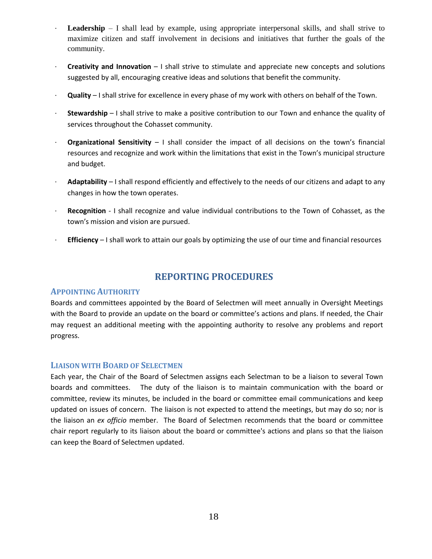- **Leadership** I shall lead by example, using appropriate interpersonal skills, and shall strive to maximize citizen and staff involvement in decisions and initiatives that further the goals of the community.
- · **Creativity and Innovation** I shall strive to stimulate and appreciate new concepts and solutions suggested by all, encouraging creative ideas and solutions that benefit the community.
- · **Quality**  I shall strive for excellence in every phase of my work with others on behalf of the Town.
- · **Stewardship**  I shall strive to make a positive contribution to our Town and enhance the quality of services throughout the Cohasset community.
- · **Organizational Sensitivity** I shall consider the impact of all decisions on the town's financial resources and recognize and work within the limitations that exist in the Town's municipal structure and budget.
- · **Adaptability**  I shall respond efficiently and effectively to the needs of our citizens and adapt to any changes in how the town operates.
- · **Recognition** I shall recognize and value individual contributions to the Town of Cohasset, as the town's mission and vision are pursued.
- · **Efficiency**  I shall work to attain our goals by optimizing the use of our time and financial resources

# **REPORTING PROCEDURES**

#### **APPOINTING AUTHORITY**

Boards and committees appointed by the Board of Selectmen will meet annually in Oversight Meetings with the Board to provide an update on the board or committee's actions and plans. If needed, the Chair may request an additional meeting with the appointing authority to resolve any problems and report progress.

#### **LIAISON WITH BOARD OF SELECTMEN**

Each year, the Chair of the Board of Selectmen assigns each Selectman to be a liaison to several Town boards and committees. The duty of the liaison is to maintain communication with the board or committee, review its minutes, be included in the board or committee email communications and keep updated on issues of concern. The liaison is not expected to attend the meetings, but may do so; nor is the liaison an *ex officio* member. The Board of Selectmen recommends that the board or committee chair report regularly to its liaison about the board or committee's actions and plans so that the liaison can keep the Board of Selectmen updated.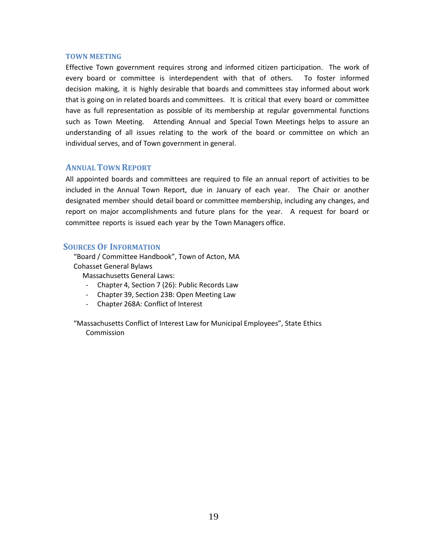#### **TOWN MEETING**

Effective Town government requires strong and informed citizen participation. The work of every board or committee is interdependent with that of others. To foster informed decision making, it is highly desirable that boards and committees stay informed about work that is going on in related boards and committees. It is critical that every board or committee have as full representation as possible of its membership at regular governmental functions such as Town Meeting. Attending Annual and Special Town Meetings helps to assure an understanding of all issues relating to the work of the board or committee on which an individual serves, and of Town government in general.

## **ANNUALTOWN REPORT**

All appointed boards and committees are required to file an annual report of activities to be included in the Annual Town Report, due in January of each year. The Chair or another designated member should detail board or committee membership, including any changes, and report on major accomplishments and future plans for the year. A request for board or committee reports is issued each year by the Town Managers office.

#### **SOURCES OF INFORMATION**

"Board / Committee Handbook", Town of Acton, MA Cohasset General Bylaws

Massachusetts General Laws:

- Chapter 4, Section 7 (26): Public Records Law
- Chapter 39, Section 23B: Open Meeting Law
- Chapter 268A: Conflict of Interest

"Massachusetts Conflict of Interest Law for Municipal Employees", State Ethics Commission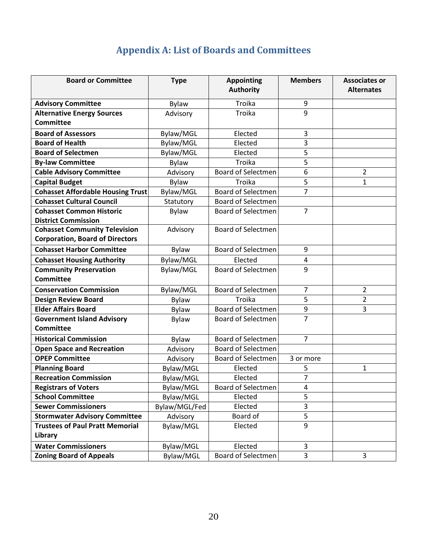# **Appendix A: List of Boards and Committees**

| <b>Board or Committee</b>                | <b>Type</b>   | <b>Appointing</b><br><b>Authority</b> | <b>Members</b>   | <b>Associates or</b><br><b>Alternates</b> |
|------------------------------------------|---------------|---------------------------------------|------------------|-------------------------------------------|
|                                          |               |                                       |                  |                                           |
| <b>Advisory Committee</b>                | Bylaw         | Troika                                | $\boldsymbol{9}$ |                                           |
| <b>Alternative Energy Sources</b>        | Advisory      | Troika                                | 9                |                                           |
| <b>Committee</b>                         |               |                                       |                  |                                           |
| <b>Board of Assessors</b>                | Bylaw/MGL     | Elected                               | 3                |                                           |
| <b>Board of Health</b>                   | Bylaw/MGL     | Elected                               | 3                |                                           |
| <b>Board of Selectmen</b>                | Bylaw/MGL     | Elected                               | 5                |                                           |
| <b>By-law Committee</b>                  | Bylaw         | Troika                                | 5                |                                           |
| <b>Cable Advisory Committee</b>          | Advisory      | <b>Board of Selectmen</b>             | 6                | $\overline{2}$                            |
| <b>Capital Budget</b>                    | Bylaw         | Troika                                | $\overline{5}$   | $\mathbf{1}$                              |
| <b>Cohasset Affordable Housing Trust</b> | Bylaw/MGL     | <b>Board of Selectmen</b>             | $\overline{7}$   |                                           |
| <b>Cohasset Cultural Council</b>         | Statutory     | <b>Board of Selectmen</b>             |                  |                                           |
| <b>Cohasset Common Historic</b>          | <b>Bylaw</b>  | <b>Board of Selectmen</b>             | $\overline{7}$   |                                           |
| <b>District Commission</b>               |               |                                       |                  |                                           |
| <b>Cohasset Community Television</b>     | Advisory      | <b>Board of Selectmen</b>             |                  |                                           |
| <b>Corporation, Board of Directors</b>   |               |                                       |                  |                                           |
| <b>Cohasset Harbor Committee</b>         | <b>Bylaw</b>  | <b>Board of Selectmen</b>             | 9                |                                           |
| <b>Cohasset Housing Authority</b>        | Bylaw/MGL     | Elected                               | $\overline{4}$   |                                           |
| <b>Community Preservation</b>            | Bylaw/MGL     | <b>Board of Selectmen</b>             | 9                |                                           |
| <b>Committee</b>                         |               |                                       |                  |                                           |
| <b>Conservation Commission</b>           | Bylaw/MGL     | <b>Board of Selectmen</b>             | $\overline{7}$   | $\overline{2}$                            |
| <b>Design Review Board</b>               | Bylaw         | Troika                                | 5                | $\overline{2}$                            |
| <b>Elder Affairs Board</b>               | Bylaw         | Board of Selectmen                    | 9                | 3                                         |
| <b>Government Island Advisory</b>        | <b>Bylaw</b>  | <b>Board of Selectmen</b>             | $\overline{7}$   |                                           |
| <b>Committee</b>                         |               |                                       |                  |                                           |
| <b>Historical Commission</b>             | Bylaw         | <b>Board of Selectmen</b>             | $\overline{7}$   |                                           |
| <b>Open Space and Recreation</b>         | Advisory      | <b>Board of Selectmen</b>             |                  |                                           |
| <b>OPEP Committee</b>                    | Advisory      | <b>Board of Selectmen</b>             | 3 or more        |                                           |
| <b>Planning Board</b>                    | Bylaw/MGL     | Elected                               | 5                | 1                                         |
| <b>Recreation Commission</b>             | Bylaw/MGL     | Elected                               | 7                |                                           |
| <b>Registrars of Voters</b>              | Bylaw/MGL     | Board of Selectmen                    | $\overline{4}$   |                                           |
| <b>School Committee</b>                  | Bylaw/MGL     | Elected                               | 5                |                                           |
| <b>Sewer Commissioners</b>               | Bylaw/MGL/Fed | Elected                               | 3                |                                           |
| <b>Stormwater Advisory Committee</b>     | Advisory      | Board of                              | 5                |                                           |
| <b>Trustees of Paul Pratt Memorial</b>   | Bylaw/MGL     | Elected                               | 9                |                                           |
| Library                                  |               |                                       |                  |                                           |
| <b>Water Commissioners</b>               | Bylaw/MGL     | Elected                               | 3                |                                           |
| <b>Zoning Board of Appeals</b>           | Bylaw/MGL     | Board of Selectmen                    | 3                | 3                                         |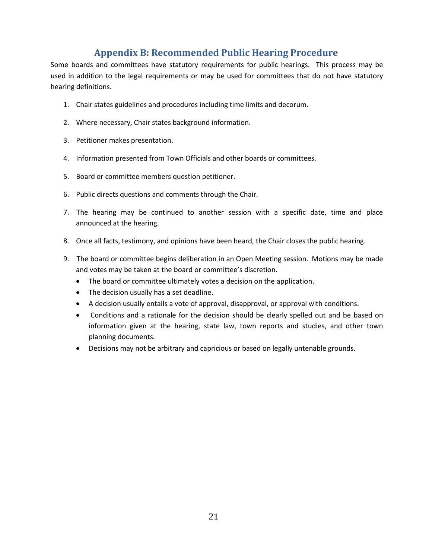# **Appendix B: Recommended Public Hearing Procedure**

Some boards and committees have statutory requirements for public hearings. This process may be used in addition to the legal requirements or may be used for committees that do not have statutory hearing definitions.

- 1. Chair states guidelines and procedures including time limits and decorum.
- 2. Where necessary, Chair states background information.
- 3. Petitioner makes presentation.
- 4. Information presented from Town Officials and other boards or committees.
- 5. Board or committee members question petitioner.
- 6. Public directs questions and comments through the Chair.
- 7. The hearing may be continued to another session with a specific date, time and place announced at the hearing.
- 8. Once all facts, testimony, and opinions have been heard, the Chair closes the public hearing.
- 9. The board or committee begins deliberation in an Open Meeting session. Motions may be made and votes may be taken at the board or committee's discretion.
	- The board or committee ultimately votes a decision on the application.
	- The decision usually has a set deadline.
	- A decision usually entails a vote of approval, disapproval, or approval with conditions.
	- Conditions and a rationale for the decision should be clearly spelled out and be based on information given at the hearing, state law, town reports and studies, and other town planning documents.
	- Decisions may not be arbitrary and capricious or based on legally untenable grounds.